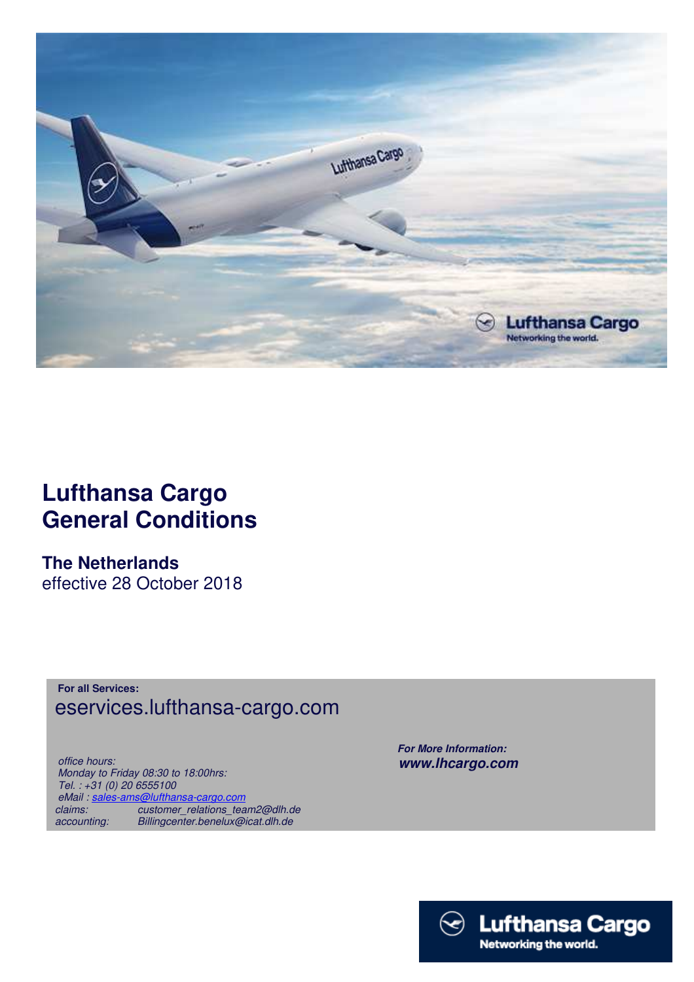

## **Lufthansa Cargo General Conditions**

**The Netherlands**  effective 28 October 2018

**For all Services:** eservices.lufthansa-cargo.com

 *office hours: Monday to Friday 08:30 to 18:00hrs: Tel. : +31 (0) 20 6555100 eMail : sales-ams@lufthansa-cargo.com claims: customer\_relations\_team2@dlh.de accounting: Billingcenter.benelux@icat.dlh.de*

 *For More Information: www.lhcargo.com* 

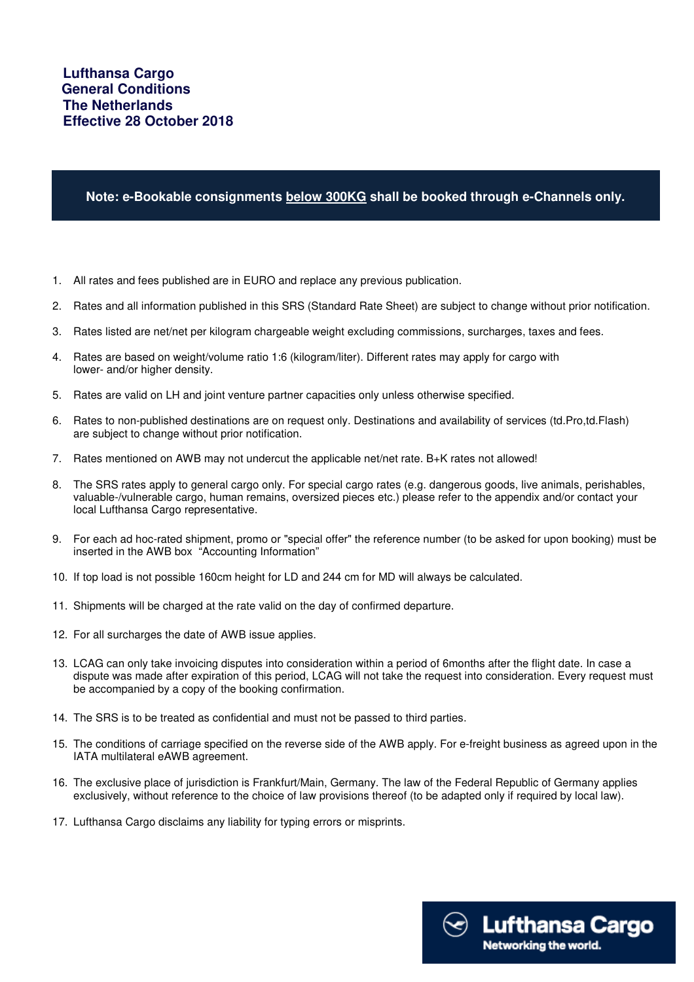## **Note: e-Bookable consignments below 300KG shall be booked through e-Channels only.**

- 1. All rates and fees published are in EURO and replace any previous publication.
- 2. Rates and all information published in this SRS (Standard Rate Sheet) are subject to change without prior notification.
- 3. Rates listed are net/net per kilogram chargeable weight excluding commissions, surcharges, taxes and fees.
- 4. Rates are based on weight/volume ratio 1:6 (kilogram/liter). Different rates may apply for cargo with lower- and/or higher density.
- 5. Rates are valid on LH and joint venture partner capacities only unless otherwise specified.
- 6. Rates to non-published destinations are on request only. Destinations and availability of services (td.Pro,td.Flash) are subject to change without prior notification.
- 7. Rates mentioned on AWB may not undercut the applicable net/net rate. B+K rates not allowed!
- 8. The SRS rates apply to general cargo only. For special cargo rates (e.g. dangerous goods, live animals, perishables, valuable-/vulnerable cargo, human remains, oversized pieces etc.) please refer to the appendix and/or contact your local Lufthansa Cargo representative.
- 9. For each ad hoc-rated shipment, promo or "special offer" the reference number (to be asked for upon booking) must be inserted in the AWB box "Accounting Information"
- 10. If top load is not possible 160cm height for LD and 244 cm for MD will always be calculated.
- 11. Shipments will be charged at the rate valid on the day of confirmed departure.
- 12. For all surcharges the date of AWB issue applies.
- 13. LCAG can only take invoicing disputes into consideration within a period of 6months after the flight date. In case a dispute was made after expiration of this period, LCAG will not take the request into consideration. Every request must be accompanied by a copy of the booking confirmation.
- 14. The SRS is to be treated as confidential and must not be passed to third parties.
- 15. The conditions of carriage specified on the reverse side of the AWB apply. For e-freight business as agreed upon in the IATA multilateral eAWB agreement.
- 16. The exclusive place of jurisdiction is Frankfurt/Main, Germany. The law of the Federal Republic of Germany applies exclusively, without reference to the choice of law provisions thereof (to be adapted only if required by local law).
- 17. Lufthansa Cargo disclaims any liability for typing errors or misprints.

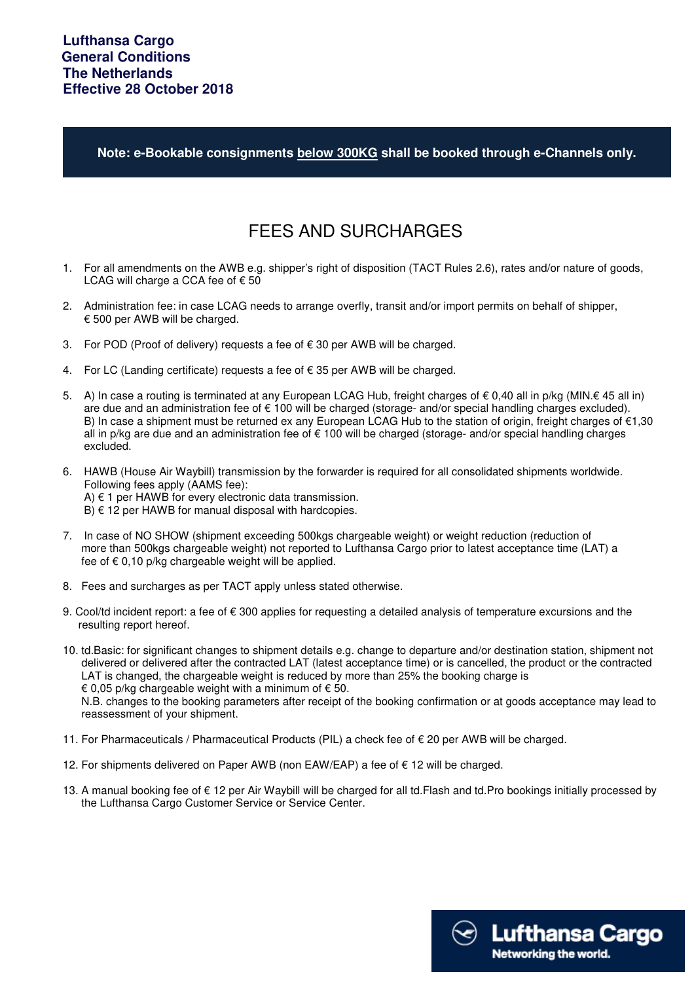**Note: e-Bookable consignments below 300KG shall be booked through e-Channels only.**

## FEES AND SURCHARGES

- 1. For all amendments on the AWB e.g. shipper's right of disposition (TACT Rules 2.6), rates and/or nature of goods, LCAG will charge a CCA fee of  $\epsilon$  50
- 2. Administration fee: in case LCAG needs to arrange overfly, transit and/or import permits on behalf of shipper, € 500 per AWB will be charged.
- 3. For POD (Proof of delivery) requests a fee of € 30 per AWB will be charged.
- 4. For LC (Landing certificate) requests a fee of  $€$  35 per AWB will be charged.
- 5. A) In case a routing is terminated at any European LCAG Hub, freight charges of € 0,40 all in p/kg (MIN.€ 45 all in) are due and an administration fee of € 100 will be charged (storage- and/or special handling charges excluded). B) In case a shipment must be returned ex any European LCAG Hub to the station of origin, freight charges of €1,30 all in p/kg are due and an administration fee of € 100 will be charged (storage- and/or special handling charges excluded.
- 6. HAWB (House Air Waybill) transmission by the forwarder is required for all consolidated shipments worldwide. Following fees apply (AAMS fee): A) € 1 per HAWB for every electronic data transmission. B)  $\in$  12 per HAWB for manual disposal with hardcopies.
- 7. In case of NO SHOW (shipment exceeding 500kgs chargeable weight) or weight reduction (reduction of more than 500kgs chargeable weight) not reported to Lufthansa Cargo prior to latest acceptance time (LAT) a fee of  $\epsilon$  0,10 p/kg chargeable weight will be applied.
- 8. Fees and surcharges as per TACT apply unless stated otherwise.
- 9. Cool/td incident report: a fee of € 300 applies for requesting a detailed analysis of temperature excursions and the resulting report hereof.
- 10. td.Basic: for significant changes to shipment details e.g. change to departure and/or destination station, shipment not delivered or delivered after the contracted LAT (latest acceptance time) or is cancelled, the product or the contracted LAT is changed, the chargeable weight is reduced by more than 25% the booking charge is € 0,05 p/kg chargeable weight with a minimum of  $€ 50$ . N.B. changes to the booking parameters after receipt of the booking confirmation or at goods acceptance may lead to reassessment of your shipment.
- 11. For Pharmaceuticals / Pharmaceutical Products (PIL) a check fee of € 20 per AWB will be charged.
- 12. For shipments delivered on Paper AWB (non EAW/EAP) a fee of € 12 will be charged.
- 13. A manual booking fee of € 12 per Air Waybill will be charged for all td.Flash and td.Pro bookings initially processed by the Lufthansa Cargo Customer Service or Service Center.